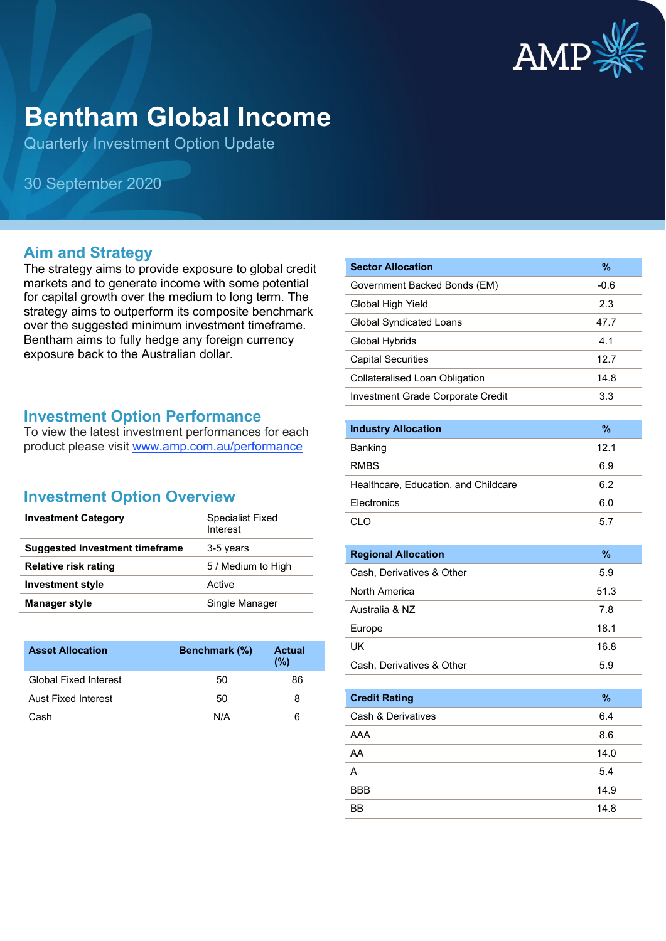

# **Bentham Global Income**

Quarterly Investment Option Update

30 September 2020

#### **Aim and Strategy**

The strategy aims to provide exposure to global credit markets and to generate income with some potential for capital growth over the medium to long term. The strategy aims to outperform its composite benchmark over the suggested minimum investment timeframe. Bentham aims to fully hedge any foreign currency exposure back to the Australian dollar.

#### **Investment Option Performance**

To view the latest investment performances for each product please visit [www.amp.com.au/performance](https://www.amp.com.au/performance)

### **Investment Option Overview**

| <b>Investment Category</b>            | Specialist Fixed<br>Interest |
|---------------------------------------|------------------------------|
| <b>Suggested Investment timeframe</b> | 3-5 years                    |
| <b>Relative risk rating</b>           | 5 / Medium to High           |
| <b>Investment style</b>               | Active                       |
| Manager style                         | Single Manager               |

| <b>Asset Allocation</b>      | Benchmark (%) | <b>Actual</b><br>(%) |
|------------------------------|---------------|----------------------|
| <b>Global Fixed Interest</b> | 50            | 86                   |
| Aust Fixed Interest          | 50            | 8                    |
| Cash                         | N/A           | 6                    |

| <b>Sector Allocation</b>          | $\%$   |
|-----------------------------------|--------|
| Government Backed Bonds (EM)      | $-0.6$ |
| Global High Yield                 | 2.3    |
| Global Syndicated Loans           | 47.7   |
| Global Hybrids                    | 4.1    |
| <b>Capital Securities</b>         | 12.7   |
| Collateralised Loan Obligation    | 14.8   |
| Investment Grade Corporate Credit | 3.3    |

| <b>Industry Allocation</b>           | $\%$ |
|--------------------------------------|------|
| Banking                              | 12.1 |
| <b>RMBS</b>                          | 6.9  |
| Healthcare, Education, and Childcare | 6.2  |
| Electronics                          | 6.0  |
|                                      | 5.7  |

| <b>Regional Allocation</b> | %    |
|----------------------------|------|
| Cash, Derivatives & Other  | 5.9  |
| North America              | 51.3 |
| Australia & NZ             | 7.8  |
| Europe                     | 18.1 |
| UK                         | 16.8 |
| Cash, Derivatives & Other  | 5.9  |

| <b>Credit Rating</b> | %    |
|----------------------|------|
| Cash & Derivatives   | 6.4  |
| AAA                  | 8.6  |
| AA                   | 14.0 |
| A                    | 5.4  |
| <b>BBB</b>           | 14.9 |
| BB                   | 14.8 |
|                      |      |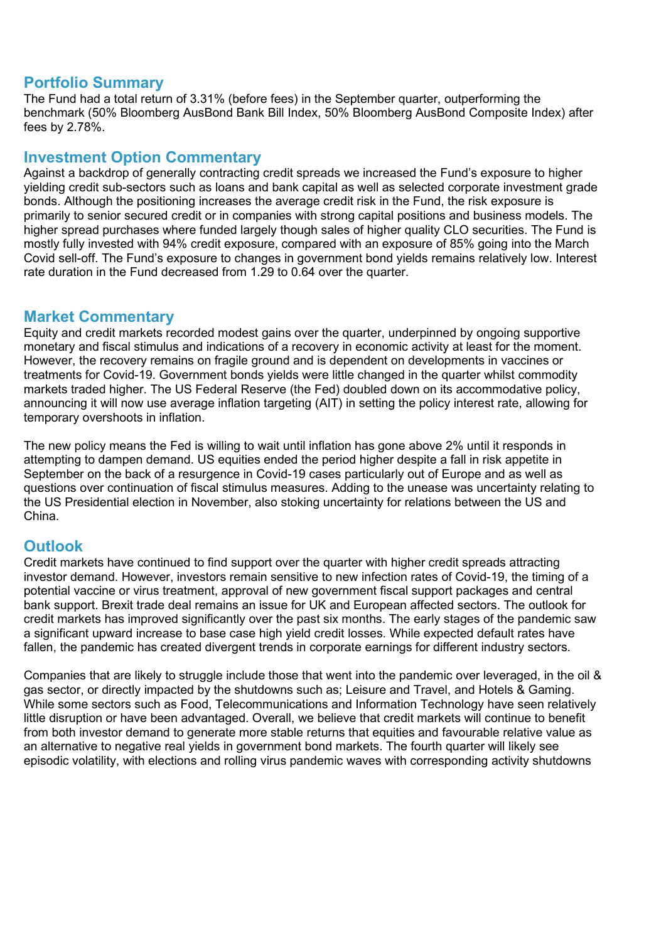### **Portfolio Summary**

The Fund had a total return of 3.31% (before fees) in the September quarter, outperforming the benchmark (50% Bloomberg AusBond Bank Bill Index, 50% Bloomberg AusBond Composite Index) after fees by 2.78%.

#### **Investment Option Commentary**

Against a backdrop of generally contracting credit spreads we increased the Fund's exposure to higher yielding credit sub-sectors such as loans and bank capital as well as selected corporate investment grade bonds. Although the positioning increases the average credit risk in the Fund, the risk exposure is primarily to senior secured credit or in companies with strong capital positions and business models. The higher spread purchases where funded largely though sales of higher quality CLO securities. The Fund is mostly fully invested with 94% credit exposure, compared with an exposure of 85% going into the March Covid sell-off. The Fund's exposure to changes in government bond yields remains relatively low. Interest rate duration in the Fund decreased from 1.29 to 0.64 over the quarter.

#### **Market Commentary**

Equity and credit markets recorded modest gains over the quarter, underpinned by ongoing supportive monetary and fiscal stimulus and indications of a recovery in economic activity at least for the moment. However, the recovery remains on fragile ground and is dependent on developments in vaccines or treatments for Covid-19. Government bonds yields were little changed in the quarter whilst commodity markets traded higher. The US Federal Reserve (the Fed) doubled down on its accommodative policy, announcing it will now use average inflation targeting (AIT) in setting the policy interest rate, allowing for temporary overshoots in inflation.

The new policy means the Fed is willing to wait until inflation has gone above 2% until it responds in attempting to dampen demand. US equities ended the period higher despite a fall in risk appetite in September on the back of a resurgence in Covid-19 cases particularly out of Europe and as well as questions over continuation of fiscal stimulus measures. Adding to the unease was uncertainty relating to the US Presidential election in November, also stoking uncertainty for relations between the US and China.

## **Outlook**

Credit markets have continued to find support over the quarter with higher credit spreads attracting investor demand. However, investors remain sensitive to new infection rates of Covid-19, the timing of a potential vaccine or virus treatment, approval of new government fiscal support packages and central bank support. Brexit trade deal remains an issue for UK and European affected sectors. The outlook for credit markets has improved significantly over the past six months. The early stages of the pandemic saw a significant upward increase to base case high yield credit losses. While expected default rates have fallen, the pandemic has created divergent trends in corporate earnings for different industry sectors.

Companies that are likely to struggle include those that went into the pandemic over leveraged, in the oil & gas sector, or directly impacted by the shutdowns such as; Leisure and Travel, and Hotels & Gaming. While some sectors such as Food, Telecommunications and Information Technology have seen relatively little disruption or have been advantaged. Overall, we believe that credit markets will continue to benefit from both investor demand to generate more stable returns that equities and favourable relative value as an alternative to negative real yields in government bond markets. The fourth quarter will likely see episodic volatility, with elections and rolling virus pandemic waves with corresponding activity shutdowns